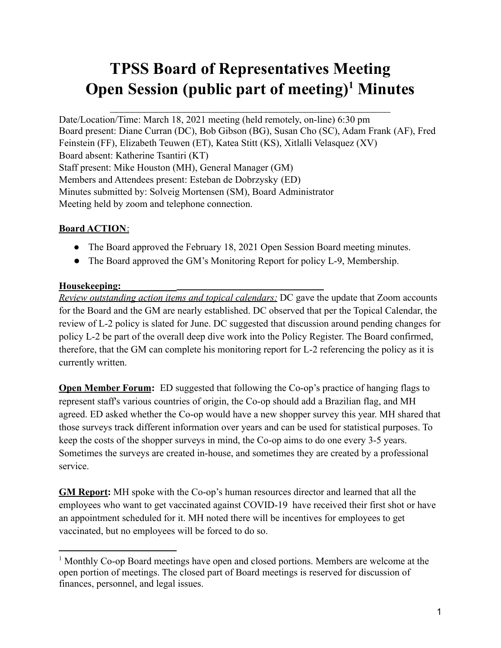# **TPSS Board of Representatives Meeting Open Session (public part of meeting) <sup>1</sup> Minutes**

Date/Location/Time: March 18, 2021 meeting (held remotely, on-line) 6:30 pm Board present: Diane Curran (DC), Bob Gibson (BG), Susan Cho (SC), Adam Frank (AF), Fred Feinstein (FF), Elizabeth Teuwen (ET), Katea Stitt (KS), Xitlalli Velasquez (XV) Board absent: Katherine Tsantiri (KT) Staff present: Mike Houston (MH), General Manager (GM) Members and Attendees present: Esteban de Dobrzysky (ED) Minutes submitted by: Solveig Mortensen (SM), Board Administrator Meeting held by zoom and telephone connection.

# **Board ACTION**:

- The Board approved the February 18, 2021 Open Session Board meeting minutes.
- The Board approved the GM's Monitoring Report for policy L-9, Membership.

#### **Housekeeping:**

*Review outstanding action items and topical calendars:* DC gave the update that Zoom accounts for the Board and the GM are nearly established. DC observed that per the Topical Calendar, the review of L-2 policy is slated for June. DC suggested that discussion around pending changes for policy L-2 be part of the overall deep dive work into the Policy Register. The Board confirmed, therefore, that the GM can complete his monitoring report for L-2 referencing the policy as it is currently written.

**Open Member Forum:** ED suggested that following the Co-op's practice of hanging flags to represent staff's various countries of origin, the Co-op should add a Brazilian flag, and MH agreed. ED asked whether the Co-op would have a new shopper survey this year. MH shared that those surveys track different information over years and can be used for statistical purposes. To keep the costs of the shopper surveys in mind, the Co-op aims to do one every 3-5 years. Sometimes the surveys are created in-house, and sometimes they are created by a professional service.

**GM Report:** MH spoke with the Co-op's human resources director and learned that all the employees who want to get vaccinated against COVID-19 have received their first shot or have an appointment scheduled for it. MH noted there will be incentives for employees to get vaccinated, but no employees will be forced to do so.

<sup>1</sup> Monthly Co-op Board meetings have open and closed portions. Members are welcome at the open portion of meetings. The closed part of Board meetings is reserved for discussion of finances, personnel, and legal issues.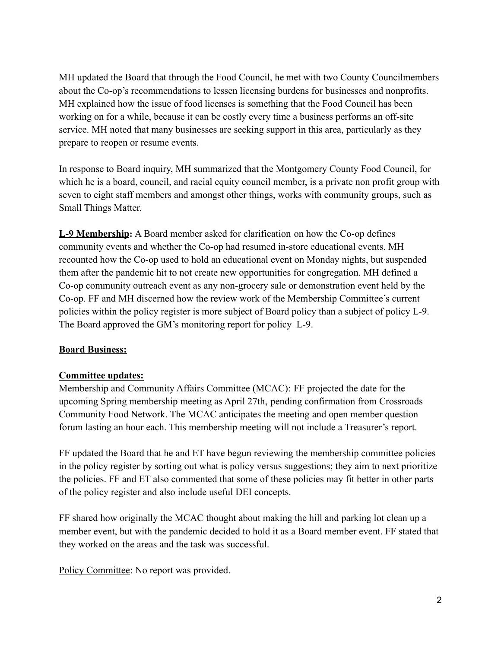MH updated the Board that through the Food Council, he met with two County Councilmembers about the Co-op's recommendations to lessen licensing burdens for businesses and nonprofits. MH explained how the issue of food licenses is something that the Food Council has been working on for a while, because it can be costly every time a business performs an off-site service. MH noted that many businesses are seeking support in this area, particularly as they prepare to reopen or resume events.

In response to Board inquiry, MH summarized that the Montgomery County Food Council, for which he is a board, council, and racial equity council member, is a private non profit group with seven to eight staff members and amongst other things, works with community groups, such as Small Things Matter.

**L-9 Membership:** A Board member asked for clarification on how the Co-op defines community events and whether the Co-op had resumed in-store educational events. MH recounted how the Co-op used to hold an educational event on Monday nights, but suspended them after the pandemic hit to not create new opportunities for congregation. MH defined a Co-op community outreach event as any non-grocery sale or demonstration event held by the Co-op. FF and MH discerned how the review work of the Membership Committee's current policies within the policy register is more subject of Board policy than a subject of policy L-9. The Board approved the GM's monitoring report for policy L-9.

#### **Board Business:**

### **Committee updates:**

Membership and Community Affairs Committee (MCAC): FF projected the date for the upcoming Spring membership meeting as April 27th, pending confirmation from Crossroads Community Food Network. The MCAC anticipates the meeting and open member question forum lasting an hour each. This membership meeting will not include a Treasurer's report.

FF updated the Board that he and ET have begun reviewing the membership committee policies in the policy register by sorting out what is policy versus suggestions; they aim to next prioritize the policies. FF and ET also commented that some of these policies may fit better in other parts of the policy register and also include useful DEI concepts.

FF shared how originally the MCAC thought about making the hill and parking lot clean up a member event, but with the pandemic decided to hold it as a Board member event. FF stated that they worked on the areas and the task was successful.

Policy Committee: No report was provided.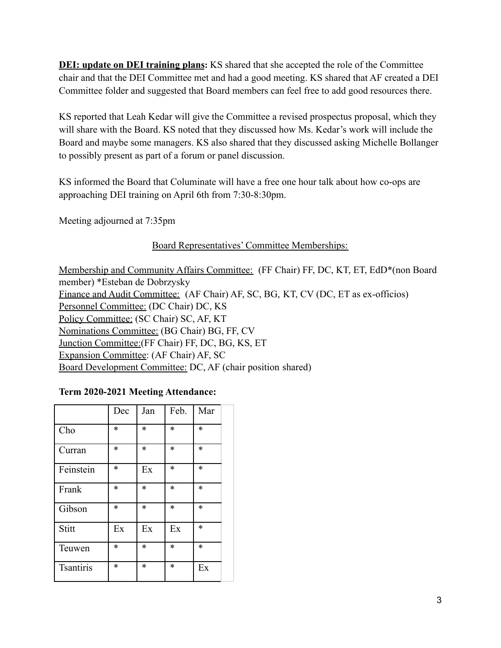**DEI: update on DEI training plans:** KS shared that she accepted the role of the Committee chair and that the DEI Committee met and had a good meeting. KS shared that AF created a DEI Committee folder and suggested that Board members can feel free to add good resources there.

KS reported that Leah Kedar will give the Committee a revised prospectus proposal, which they will share with the Board. KS noted that they discussed how Ms. Kedar's work will include the Board and maybe some managers. KS also shared that they discussed asking Michelle Bollanger to possibly present as part of a forum or panel discussion.

KS informed the Board that Columinate will have a free one hour talk about how co-ops are approaching DEI training on April 6th from 7:30-8:30pm.

Meeting adjourned at 7:35pm

# Board Representatives' Committee Memberships:

Membership and Community Affairs Committee: (FF Chair) FF, DC, KT, ET, EdD\*(non Board member) \*Esteban de Dobrzysky Finance and Audit Committee: (AF Chair) AF, SC, BG, KT, CV (DC, ET as ex-officios) Personnel Committee: (DC Chair) DC, KS Policy Committee: (SC Chair) SC, AF, KT Nominations Committee: (BG Chair) BG, FF, CV Junction Committee:(FF Chair) FF, DC, BG, KS, ET Expansion Committee: (AF Chair) AF, SC Board Development Committee: DC, AF (chair position shared)

### **Term 2020-2021 Meeting Attendance:**

|                  | Dec    | Jan    | Feb.   | Mar    |
|------------------|--------|--------|--------|--------|
| Cho              | *      | $\ast$ | *      | *      |
| Curran           | *      | $\ast$ | *      | *      |
| Feinstein        | *      | Ex     | *      | *      |
| Frank            | *      | $\ast$ | *      | *      |
| Gibson           | $\ast$ | $\ast$ | $\ast$ | $\ast$ |
| Stitt            | Ex     | Ex     | Ex     | $\ast$ |
| Teuwen           | *      | *      | *      | *      |
| <b>Tsantiris</b> | $\ast$ | $\ast$ | *      | Ex     |